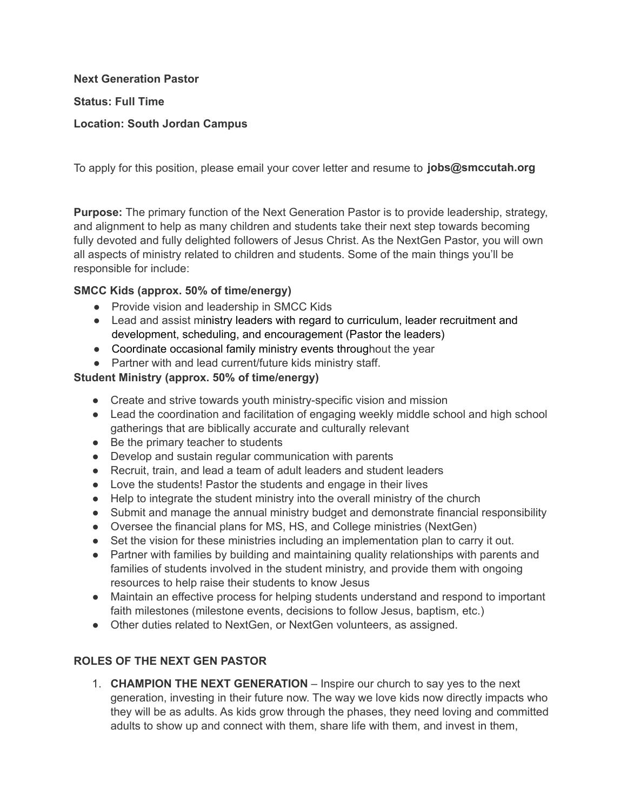**Next Generation Pastor** 

**Status: Full Time** 

#### **Location: South Jordan Campus**

To apply for this position, please email your cover letter and resume to [jobs@smccutah.or](mailto:jobs@smccutah.org)g

**Purpose:** The primary function of the Next Generation Pastor is to provide leadership, strategy, and alignment to help as many children and students take their next step towards becoming fully devoted and fully delighted followers of Jesus Christ. As the NextGen Pastor, you will own all aspects of ministry related to children and students. Some of the main things you'll be responsible for include:

#### SMCC Kids (approx. 50% of time/energy)

- Provide vision and leadership in SMCC Kids
- Lead and assist ministry leaders with regard to curriculum, leader recruitment and development, scheduling, and encouragement (Pastor the leaders)
- Coordinate occasional family ministry events throughout the year
- Partner with and lead current/future kids ministry staff.

### **Student Ministry (approx.**

- Create and strive towards youth ministry-specific vision and mission
- Lead the coordination and facilitation of engaging weekly middle school and high school gatherings that are biblically accurate and culturally relevant
- Be the primary teacher to students
- Develop and sustain regular communication with parents
- Recruit, train, and lead a team of adult leaders and student leaders
- Love the students! Pastor the students and engage in their lives
- Help to integrate the student ministry into the overall ministry of the church
- Submit and manage the annual ministry budget and demonstrate financial responsibility
- Oversee the financial plans for MS, HS, and College ministries (NextGen)
- Set the vision for these ministries including an implementation plan to carry it out.
- Partner with families by building and maintaining quality relationships with parents and families of students involved in the student ministry, and provide them with ongoing resources to help raise their students to know Jesus
- Maintain an effective process for helping students understand and respond to important faith milestones (milestone events, decisions to follow Jesus, baptism, etc.)
- Other duties related to NextGen, or NextGen volunteers, as assigned.

# **ROLES OF THE NEXT GEN PASTOR**

1. **CHAMPION THE NEXT GENERATION** – Inspire our church to say yes to the next generation, investing in their future now. The way we love kids now directly impacts who they will be as adults. As kids grow through the phases, they need loving and committed adults to show up and connect with them, share life with them, and invest in them,